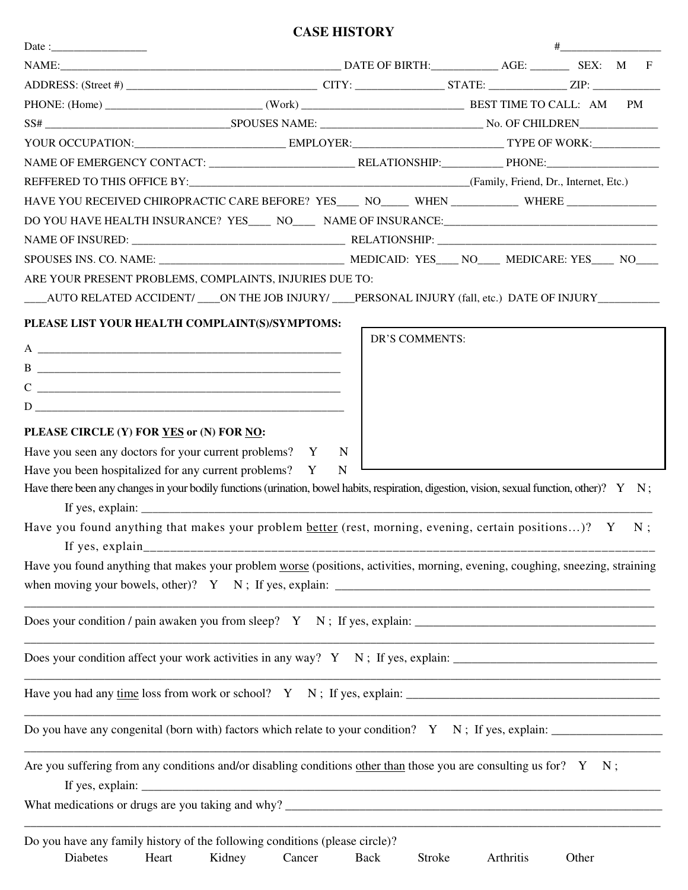## **CASE HISTORY**

|                                                                                                                                              |                                                                                                                                                                                                                                  |                |           | $\begin{picture}(20,20)(-0,0) \put(0,0){\vector(1,0){100}} \put(15,0){\vector(1,0){100}} \put(15,0){\vector(1,0){100}} \put(15,0){\vector(1,0){100}} \put(15,0){\vector(1,0){100}} \put(15,0){\vector(1,0){100}} \put(15,0){\vector(1,0){100}} \put(15,0){\vector(1,0){100}} \put(15,0){\vector(1,0){100}} \put(15,0){\vector(1,0){100}} \put(15,0){\vector(1,0){$ |    |  |
|----------------------------------------------------------------------------------------------------------------------------------------------|----------------------------------------------------------------------------------------------------------------------------------------------------------------------------------------------------------------------------------|----------------|-----------|--------------------------------------------------------------------------------------------------------------------------------------------------------------------------------------------------------------------------------------------------------------------------------------------------------------------------------------------------------------------|----|--|
|                                                                                                                                              |                                                                                                                                                                                                                                  |                |           |                                                                                                                                                                                                                                                                                                                                                                    |    |  |
|                                                                                                                                              |                                                                                                                                                                                                                                  |                |           |                                                                                                                                                                                                                                                                                                                                                                    |    |  |
|                                                                                                                                              |                                                                                                                                                                                                                                  |                |           |                                                                                                                                                                                                                                                                                                                                                                    | PM |  |
|                                                                                                                                              |                                                                                                                                                                                                                                  |                |           |                                                                                                                                                                                                                                                                                                                                                                    |    |  |
|                                                                                                                                              |                                                                                                                                                                                                                                  |                |           |                                                                                                                                                                                                                                                                                                                                                                    |    |  |
|                                                                                                                                              |                                                                                                                                                                                                                                  |                |           |                                                                                                                                                                                                                                                                                                                                                                    |    |  |
|                                                                                                                                              |                                                                                                                                                                                                                                  |                |           |                                                                                                                                                                                                                                                                                                                                                                    |    |  |
| HAVE YOU RECEIVED CHIROPRACTIC CARE BEFORE? YES____ NO_____ WHEN ___________ WHERE ________________                                          |                                                                                                                                                                                                                                  |                |           |                                                                                                                                                                                                                                                                                                                                                                    |    |  |
|                                                                                                                                              |                                                                                                                                                                                                                                  |                |           |                                                                                                                                                                                                                                                                                                                                                                    |    |  |
|                                                                                                                                              |                                                                                                                                                                                                                                  |                |           |                                                                                                                                                                                                                                                                                                                                                                    |    |  |
|                                                                                                                                              |                                                                                                                                                                                                                                  |                |           |                                                                                                                                                                                                                                                                                                                                                                    |    |  |
| ARE YOUR PRESENT PROBLEMS, COMPLAINTS, INJURIES DUE TO:                                                                                      |                                                                                                                                                                                                                                  |                |           |                                                                                                                                                                                                                                                                                                                                                                    |    |  |
| ____AUTO RELATED ACCIDENT/ ____ON THE JOB INJURY/ ____PERSONAL INJURY (fall, etc.) DATE OF INJURY ___________                                |                                                                                                                                                                                                                                  |                |           |                                                                                                                                                                                                                                                                                                                                                                    |    |  |
|                                                                                                                                              |                                                                                                                                                                                                                                  |                |           |                                                                                                                                                                                                                                                                                                                                                                    |    |  |
| PLEASE LIST YOUR HEALTH COMPLAINT(S)/SYMPTOMS:                                                                                               |                                                                                                                                                                                                                                  | DR'S COMMENTS: |           |                                                                                                                                                                                                                                                                                                                                                                    |    |  |
| A                                                                                                                                            |                                                                                                                                                                                                                                  |                |           |                                                                                                                                                                                                                                                                                                                                                                    |    |  |
| B                                                                                                                                            |                                                                                                                                                                                                                                  |                |           |                                                                                                                                                                                                                                                                                                                                                                    |    |  |
| $C \nightharpoonup$ $C$                                                                                                                      |                                                                                                                                                                                                                                  |                |           |                                                                                                                                                                                                                                                                                                                                                                    |    |  |
| $D \qquad \qquad \underbrace{\qquad \qquad }$                                                                                                |                                                                                                                                                                                                                                  |                |           |                                                                                                                                                                                                                                                                                                                                                                    |    |  |
| PLEASE CIRCLE (Y) FOR YES or (N) FOR NO:                                                                                                     |                                                                                                                                                                                                                                  |                |           |                                                                                                                                                                                                                                                                                                                                                                    |    |  |
| Have you seen any doctors for your current problems? Y                                                                                       |                                                                                                                                                                                                                                  | N              |           |                                                                                                                                                                                                                                                                                                                                                                    |    |  |
| Have you been hospitalized for any current problems? Y                                                                                       |                                                                                                                                                                                                                                  | $\mathbf N$    |           |                                                                                                                                                                                                                                                                                                                                                                    |    |  |
| Have there been any changes in your bodily functions (urination, bowel habits, respiration, digestion, vision, sexual function, other)? Y N; |                                                                                                                                                                                                                                  |                |           |                                                                                                                                                                                                                                                                                                                                                                    |    |  |
| Have you found anything that makes your problem better (rest, morning, evening, certain positions)? Y                                        |                                                                                                                                                                                                                                  |                |           |                                                                                                                                                                                                                                                                                                                                                                    | N: |  |
| Have you found anything that makes your problem worse (positions, activities, morning, evening, coughing, sneezing, straining                |                                                                                                                                                                                                                                  |                |           |                                                                                                                                                                                                                                                                                                                                                                    |    |  |
|                                                                                                                                              |                                                                                                                                                                                                                                  |                |           |                                                                                                                                                                                                                                                                                                                                                                    |    |  |
|                                                                                                                                              |                                                                                                                                                                                                                                  |                |           |                                                                                                                                                                                                                                                                                                                                                                    |    |  |
|                                                                                                                                              |                                                                                                                                                                                                                                  |                |           |                                                                                                                                                                                                                                                                                                                                                                    |    |  |
|                                                                                                                                              |                                                                                                                                                                                                                                  |                |           |                                                                                                                                                                                                                                                                                                                                                                    |    |  |
|                                                                                                                                              |                                                                                                                                                                                                                                  |                |           |                                                                                                                                                                                                                                                                                                                                                                    |    |  |
|                                                                                                                                              |                                                                                                                                                                                                                                  |                |           |                                                                                                                                                                                                                                                                                                                                                                    |    |  |
| Are you suffering from any conditions and/or disabling conditions other than those you are consulting us for? $Y \ N$ ;                      | If yes, explain: $\frac{1}{2}$ is the set of the set of the set of the set of the set of the set of the set of the set of the set of the set of the set of the set of the set of the set of the set of the set of the set of the |                |           |                                                                                                                                                                                                                                                                                                                                                                    |    |  |
|                                                                                                                                              |                                                                                                                                                                                                                                  |                |           |                                                                                                                                                                                                                                                                                                                                                                    |    |  |
|                                                                                                                                              |                                                                                                                                                                                                                                  |                |           |                                                                                                                                                                                                                                                                                                                                                                    |    |  |
| Do you have any family history of the following conditions (please circle)?<br>Diabetes<br>Heart                                             | Kidney<br>Cancer                                                                                                                                                                                                                 | Stroke<br>Back | Arthritis | Other                                                                                                                                                                                                                                                                                                                                                              |    |  |